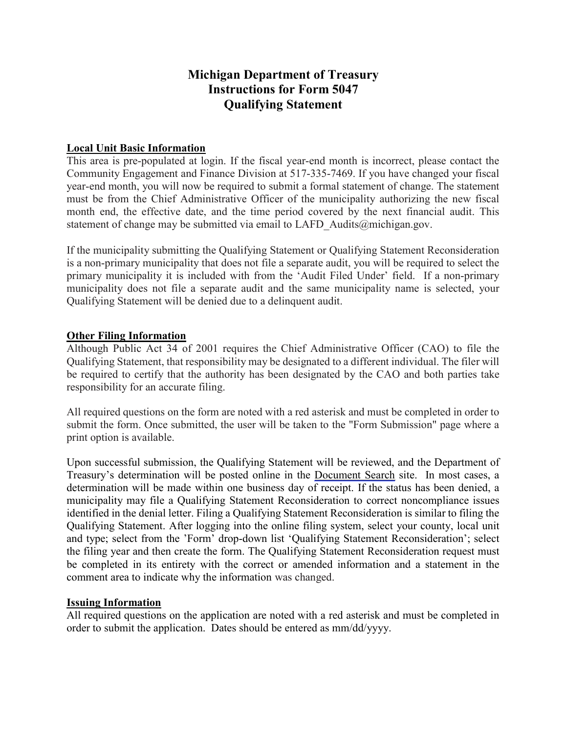# Michigan Department of Treasury Instructions for Form 5047 Qualifying Statement

## Local Unit Basic Information

This area is pre-populated at login. If the fiscal year-end month is incorrect, please contact the Community Engagement and Finance Division at 517-335-7469. If you have changed your fiscal year-end month, you will now be required to submit a formal statement of change. The statement must be from the Chief Administrative Officer of the municipality authorizing the new fiscal month end, the effective date, and the time period covered by the next financial audit. This statement of change may be submitted via email to LAFD Audits@michigan.gov.

If the municipality submitting the Qualifying Statement or Qualifying Statement Reconsideration is a non-primary municipality that does not file a separate audit, you will be required to select the primary municipality it is included with from the 'Audit Filed Under' field. If a non-primary municipality does not file a separate audit and the same municipality name is selected, your Qualifying Statement will be denied due to a delinquent audit.

### Other Filing Information

Although Public Act 34 of 2001 requires the Chief Administrative Officer (CAO) to file the Qualifying Statement, that responsibility may be designated to a different individual. The filer will be required to certify that the authority has been designated by the CAO and both parties take responsibility for an accurate filing.

All required questions on the form are noted with a red asterisk and must be completed in order to submit the form. Once submitted, the user will be taken to the "Form Submission" page where a print option is available.

Upon successful submission, the Qualifying Statement will be reviewed, and the Department of Treasury's determination will be posted online in the [Document Search](https://treas-secure.state.mi.us/LAFDocSearch/) site. In most cases, a determination will be made within one business day of receipt. If the status has been denied, a municipality may file a Qualifying Statement Reconsideration to correct noncompliance issues identified in the denial letter. Filing a Qualifying Statement Reconsideration is similar to filing the Qualifying Statement. After logging into the online filing system, select your county, local unit and type; select from the 'Form' drop-down list 'Qualifying Statement Reconsideration'; select the filing year and then create the form. The Qualifying Statement Reconsideration request must be completed in its entirety with the correct or amended information and a statement in the comment area to indicate why the information was changed.

### Issuing Information

All required questions on the application are noted with a red asterisk and must be completed in order to submit the application. Dates should be entered as mm/dd/yyyy.